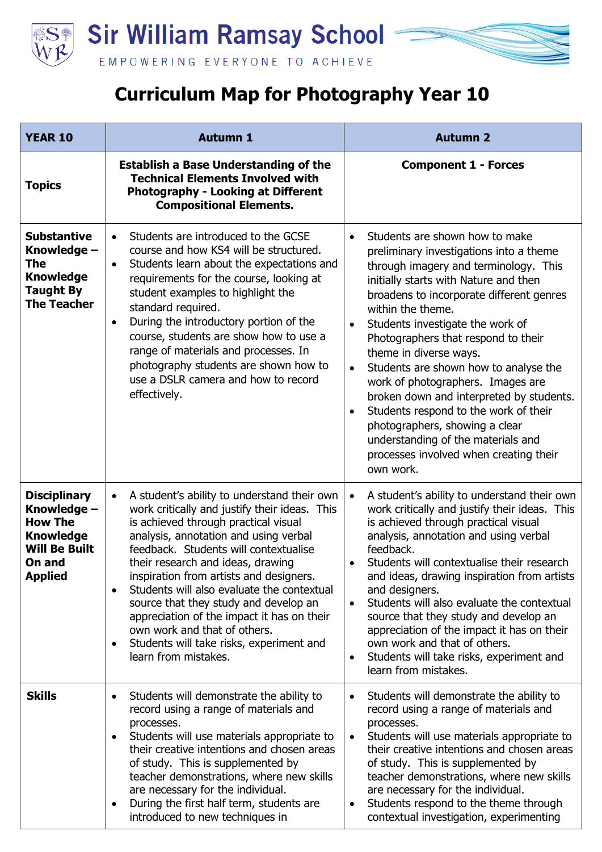

## **Curriculum Map for Photography Year 10**

| <b>YEAR 10</b>                                                                                                               | <b>Autumn 1</b>                                                                                                                                                                                                                                                                                                                                                                                                                                                                                                                                                                        | <b>Autumn 2</b>                                                                                                                                                                                                                                                                                                                                                                                                                                                                                                                                                                                                                                                            |
|------------------------------------------------------------------------------------------------------------------------------|----------------------------------------------------------------------------------------------------------------------------------------------------------------------------------------------------------------------------------------------------------------------------------------------------------------------------------------------------------------------------------------------------------------------------------------------------------------------------------------------------------------------------------------------------------------------------------------|----------------------------------------------------------------------------------------------------------------------------------------------------------------------------------------------------------------------------------------------------------------------------------------------------------------------------------------------------------------------------------------------------------------------------------------------------------------------------------------------------------------------------------------------------------------------------------------------------------------------------------------------------------------------------|
| <b>Topics</b>                                                                                                                | <b>Establish a Base Understanding of the</b><br><b>Technical Elements Involved with</b><br><b>Photography - Looking at Different</b><br><b>Compositional Elements.</b>                                                                                                                                                                                                                                                                                                                                                                                                                 | <b>Component 1 - Forces</b>                                                                                                                                                                                                                                                                                                                                                                                                                                                                                                                                                                                                                                                |
| <b>Substantive</b><br>Knowledge -<br><b>The</b><br><b>Knowledge</b><br><b>Taught By</b><br><b>The Teacher</b>                | Students are introduced to the GCSE<br>$\bullet$<br>course and how KS4 will be structured.<br>Students learn about the expectations and<br>$\bullet$<br>requirements for the course, looking at<br>student examples to highlight the<br>standard required.<br>During the introductory portion of the<br>$\bullet$<br>course, students are show how to use a<br>range of materials and processes. In<br>photography students are shown how to<br>use a DSLR camera and how to record<br>effectively.                                                                                    | Students are shown how to make<br>preliminary investigations into a theme<br>through imagery and terminology. This<br>initially starts with Nature and then<br>broadens to incorporate different genres<br>within the theme.<br>Students investigate the work of<br>$\bullet$<br>Photographers that respond to their<br>theme in diverse ways.<br>Students are shown how to analyse the<br>$\bullet$<br>work of photographers. Images are<br>broken down and interpreted by students.<br>Students respond to the work of their<br>$\bullet$<br>photographers, showing a clear<br>understanding of the materials and<br>processes involved when creating their<br>own work. |
| <b>Disciplinary</b><br>Knowledge -<br><b>How The</b><br><b>Knowledge</b><br><b>Will Be Built</b><br>On and<br><b>Applied</b> | A student's ability to understand their own<br>$\bullet$<br>work critically and justify their ideas. This<br>is achieved through practical visual<br>analysis, annotation and using verbal<br>feedback. Students will contextualise<br>their research and ideas, drawing<br>inspiration from artists and designers.<br>Students will also evaluate the contextual<br>$\bullet$<br>source that they study and develop an<br>appreciation of the impact it has on their<br>own work and that of others.<br>Students will take risks, experiment and<br>$\bullet$<br>learn from mistakes. | A student's ability to understand their own<br>$\bullet$<br>work critically and justify their ideas. This<br>is achieved through practical visual<br>analysis, annotation and using verbal<br>feedback.<br>Students will contextualise their research<br>and ideas, drawing inspiration from artists<br>and designers.<br>Students will also evaluate the contextual<br>$\bullet$<br>source that they study and develop an<br>appreciation of the impact it has on their<br>own work and that of others.<br>Students will take risks, experiment and<br>$\bullet$<br>learn from mistakes.                                                                                  |
| <b>Skills</b>                                                                                                                | Students will demonstrate the ability to<br>$\bullet$<br>record using a range of materials and<br>processes.<br>Students will use materials appropriate to<br>$\bullet$<br>their creative intentions and chosen areas<br>of study. This is supplemented by<br>teacher demonstrations, where new skills<br>are necessary for the individual.<br>During the first half term, students are<br>$\bullet$<br>introduced to new techniques in                                                                                                                                                | Students will demonstrate the ability to<br>record using a range of materials and<br>processes.<br>Students will use materials appropriate to<br>$\bullet$<br>their creative intentions and chosen areas<br>of study. This is supplemented by<br>teacher demonstrations, where new skills<br>are necessary for the individual.<br>Students respond to the theme through<br>$\bullet$<br>contextual investigation, experimenting                                                                                                                                                                                                                                            |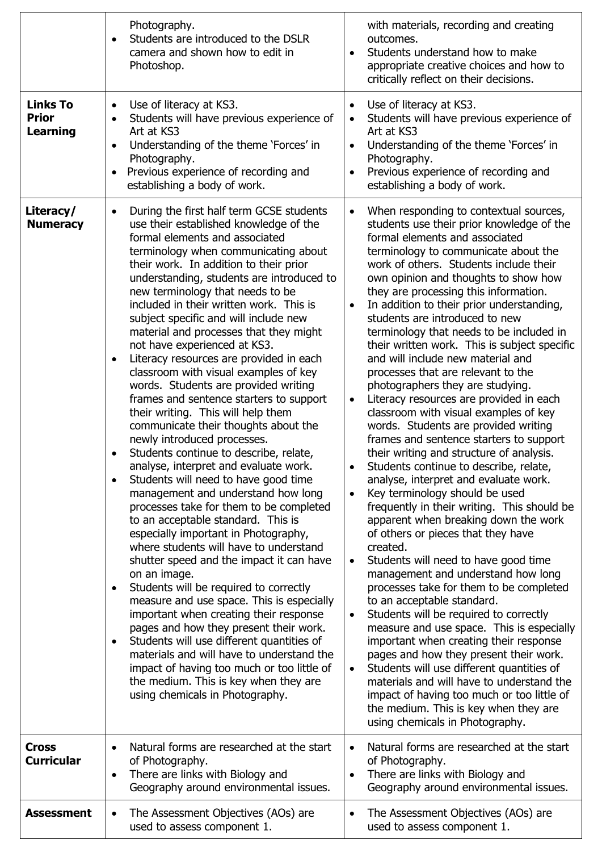|                                                    | Photography.<br>Students are introduced to the DSLR<br>camera and shown how to edit in<br>Photoshop.                                                                                                                                                                                                                                                                                                                                                                                                                                                                                                                                                                                                                                                                                                                                                                                                                                                                                                                                                                                                                                                                                                                                                                                                                                                                                                                                                                                                                                                               | with materials, recording and creating<br>outcomes.<br>Students understand how to make<br>$\bullet$<br>appropriate creative choices and how to<br>critically reflect on their decisions.                                                                                                                                                                                                                                                                                                                                                                                                                                                                                                                                                                                                                                                                                                                                                                                                                                                                                                                                                                                                                                                                                                                                                                                                                                                                                                                                                                                                                                                                                                                                  |
|----------------------------------------------------|--------------------------------------------------------------------------------------------------------------------------------------------------------------------------------------------------------------------------------------------------------------------------------------------------------------------------------------------------------------------------------------------------------------------------------------------------------------------------------------------------------------------------------------------------------------------------------------------------------------------------------------------------------------------------------------------------------------------------------------------------------------------------------------------------------------------------------------------------------------------------------------------------------------------------------------------------------------------------------------------------------------------------------------------------------------------------------------------------------------------------------------------------------------------------------------------------------------------------------------------------------------------------------------------------------------------------------------------------------------------------------------------------------------------------------------------------------------------------------------------------------------------------------------------------------------------|---------------------------------------------------------------------------------------------------------------------------------------------------------------------------------------------------------------------------------------------------------------------------------------------------------------------------------------------------------------------------------------------------------------------------------------------------------------------------------------------------------------------------------------------------------------------------------------------------------------------------------------------------------------------------------------------------------------------------------------------------------------------------------------------------------------------------------------------------------------------------------------------------------------------------------------------------------------------------------------------------------------------------------------------------------------------------------------------------------------------------------------------------------------------------------------------------------------------------------------------------------------------------------------------------------------------------------------------------------------------------------------------------------------------------------------------------------------------------------------------------------------------------------------------------------------------------------------------------------------------------------------------------------------------------------------------------------------------------|
| <b>Links To</b><br><b>Prior</b><br><b>Learning</b> | Use of literacy at KS3.<br>$\bullet$<br>Students will have previous experience of<br>Art at KS3<br>Understanding of the theme 'Forces' in<br>Photography.<br>Previous experience of recording and<br>establishing a body of work.                                                                                                                                                                                                                                                                                                                                                                                                                                                                                                                                                                                                                                                                                                                                                                                                                                                                                                                                                                                                                                                                                                                                                                                                                                                                                                                                  | Use of literacy at KS3.<br>$\bullet$<br>Students will have previous experience of<br>$\bullet$<br>Art at KS3<br>Understanding of the theme 'Forces' in<br>$\bullet$<br>Photography.<br>Previous experience of recording and<br>$\bullet$<br>establishing a body of work.                                                                                                                                                                                                                                                                                                                                                                                                                                                                                                                                                                                                                                                                                                                                                                                                                                                                                                                                                                                                                                                                                                                                                                                                                                                                                                                                                                                                                                                  |
| Literacy/<br><b>Numeracy</b>                       | During the first half term GCSE students<br>$\bullet$<br>use their established knowledge of the<br>formal elements and associated<br>terminology when communicating about<br>their work. In addition to their prior<br>understanding, students are introduced to<br>new terminology that needs to be<br>included in their written work. This is<br>subject specific and will include new<br>material and processes that they might<br>not have experienced at KS3.<br>Literacy resources are provided in each<br>$\bullet$<br>classroom with visual examples of key<br>words. Students are provided writing<br>frames and sentence starters to support<br>their writing. This will help them<br>communicate their thoughts about the<br>newly introduced processes.<br>Students continue to describe, relate,<br>analyse, interpret and evaluate work.<br>Students will need to have good time<br>management and understand how long<br>processes take for them to be completed<br>to an acceptable standard. This is<br>especially important in Photography,<br>where students will have to understand<br>shutter speed and the impact it can have<br>on an image.<br>Students will be required to correctly<br>measure and use space. This is especially<br>important when creating their response<br>pages and how they present their work.<br>Students will use different quantities of<br>materials and will have to understand the<br>impact of having too much or too little of<br>the medium. This is key when they are<br>using chemicals in Photography. | When responding to contextual sources,<br>$\bullet$<br>students use their prior knowledge of the<br>formal elements and associated<br>terminology to communicate about the<br>work of others. Students include their<br>own opinion and thoughts to show how<br>they are processing this information.<br>In addition to their prior understanding,<br>$\bullet$<br>students are introduced to new<br>terminology that needs to be included in<br>their written work. This is subject specific<br>and will include new material and<br>processes that are relevant to the<br>photographers they are studying.<br>Literacy resources are provided in each<br>$\bullet$<br>classroom with visual examples of key<br>words. Students are provided writing<br>frames and sentence starters to support<br>their writing and structure of analysis.<br>Students continue to describe, relate,<br>٠<br>analyse, interpret and evaluate work.<br>Key terminology should be used<br>$\bullet$<br>frequently in their writing. This should be<br>apparent when breaking down the work<br>of others or pieces that they have<br>created.<br>Students will need to have good time<br>$\bullet$<br>management and understand how long<br>processes take for them to be completed<br>to an acceptable standard.<br>Students will be required to correctly<br>$\bullet$<br>measure and use space. This is especially<br>important when creating their response<br>pages and how they present their work.<br>Students will use different quantities of<br>$\bullet$<br>materials and will have to understand the<br>impact of having too much or too little of<br>the medium. This is key when they are<br>using chemicals in Photography. |
| <b>Cross</b><br><b>Curricular</b>                  | Natural forms are researched at the start<br>$\bullet$<br>of Photography.<br>There are links with Biology and<br>$\bullet$<br>Geography around environmental issues.                                                                                                                                                                                                                                                                                                                                                                                                                                                                                                                                                                                                                                                                                                                                                                                                                                                                                                                                                                                                                                                                                                                                                                                                                                                                                                                                                                                               | Natural forms are researched at the start<br>$\bullet$<br>of Photography.<br>There are links with Biology and<br>$\bullet$<br>Geography around environmental issues.                                                                                                                                                                                                                                                                                                                                                                                                                                                                                                                                                                                                                                                                                                                                                                                                                                                                                                                                                                                                                                                                                                                                                                                                                                                                                                                                                                                                                                                                                                                                                      |
| <b>Assessment</b>                                  | The Assessment Objectives (AOs) are<br>٠<br>used to assess component 1.                                                                                                                                                                                                                                                                                                                                                                                                                                                                                                                                                                                                                                                                                                                                                                                                                                                                                                                                                                                                                                                                                                                                                                                                                                                                                                                                                                                                                                                                                            | The Assessment Objectives (AOs) are<br>$\bullet$<br>used to assess component 1.                                                                                                                                                                                                                                                                                                                                                                                                                                                                                                                                                                                                                                                                                                                                                                                                                                                                                                                                                                                                                                                                                                                                                                                                                                                                                                                                                                                                                                                                                                                                                                                                                                           |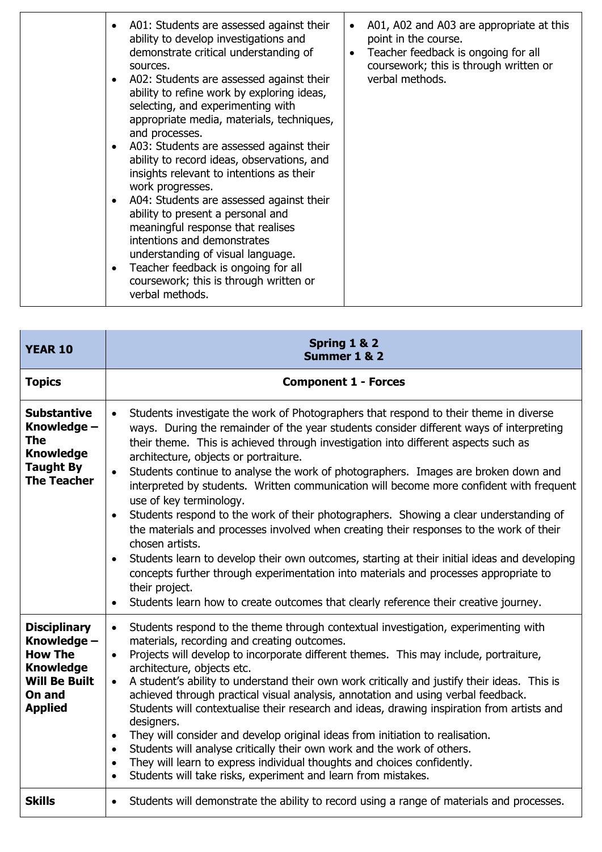|  | A01: Students are assessed against their<br>ability to develop investigations and<br>demonstrate critical understanding of<br>sources.<br>A02: Students are assessed against their<br>ability to refine work by exploring ideas,<br>selecting, and experimenting with<br>appropriate media, materials, techniques,<br>and processes.<br>A03: Students are assessed against their<br>$\bullet$<br>ability to record ideas, observations, and<br>insights relevant to intentions as their<br>work progresses.<br>A04: Students are assessed against their<br>$\bullet$<br>ability to present a personal and<br>meaningful response that realises<br>intentions and demonstrates<br>understanding of visual language.<br>Teacher feedback is ongoing for all<br>$\bullet$<br>coursework; this is through written or<br>verbal methods. | A01, A02 and A03 are appropriate at this<br>point in the course.<br>Teacher feedback is ongoing for all<br>coursework; this is through written or<br>verbal methods. |
|--|-------------------------------------------------------------------------------------------------------------------------------------------------------------------------------------------------------------------------------------------------------------------------------------------------------------------------------------------------------------------------------------------------------------------------------------------------------------------------------------------------------------------------------------------------------------------------------------------------------------------------------------------------------------------------------------------------------------------------------------------------------------------------------------------------------------------------------------|----------------------------------------------------------------------------------------------------------------------------------------------------------------------|
|--|-------------------------------------------------------------------------------------------------------------------------------------------------------------------------------------------------------------------------------------------------------------------------------------------------------------------------------------------------------------------------------------------------------------------------------------------------------------------------------------------------------------------------------------------------------------------------------------------------------------------------------------------------------------------------------------------------------------------------------------------------------------------------------------------------------------------------------------|----------------------------------------------------------------------------------------------------------------------------------------------------------------------|

| <b>YEAR 10</b>                                                                                                               | Spring 1 & 2<br>Summer 1 & 2                                                                                                                                                                                                                                                                                                                                                                                                                                                                                                                                                                                                                                                                                                                                                                                                                                                                                                                                                                                                                                                             |  |
|------------------------------------------------------------------------------------------------------------------------------|------------------------------------------------------------------------------------------------------------------------------------------------------------------------------------------------------------------------------------------------------------------------------------------------------------------------------------------------------------------------------------------------------------------------------------------------------------------------------------------------------------------------------------------------------------------------------------------------------------------------------------------------------------------------------------------------------------------------------------------------------------------------------------------------------------------------------------------------------------------------------------------------------------------------------------------------------------------------------------------------------------------------------------------------------------------------------------------|--|
| <b>Topics</b>                                                                                                                | <b>Component 1 - Forces</b>                                                                                                                                                                                                                                                                                                                                                                                                                                                                                                                                                                                                                                                                                                                                                                                                                                                                                                                                                                                                                                                              |  |
| <b>Substantive</b><br>Knowledge -<br><b>The</b><br><b>Knowledge</b><br><b>Taught By</b><br><b>The Teacher</b>                | Students investigate the work of Photographers that respond to their theme in diverse<br>$\bullet$<br>ways. During the remainder of the year students consider different ways of interpreting<br>their theme. This is achieved through investigation into different aspects such as<br>architecture, objects or portraiture.<br>Students continue to analyse the work of photographers. Images are broken down and<br>interpreted by students. Written communication will become more confident with frequent<br>use of key terminology.<br>Students respond to the work of their photographers. Showing a clear understanding of<br>$\bullet$<br>the materials and processes involved when creating their responses to the work of their<br>chosen artists.<br>Students learn to develop their own outcomes, starting at their initial ideas and developing<br>$\bullet$<br>concepts further through experimentation into materials and processes appropriate to<br>their project.<br>Students learn how to create outcomes that clearly reference their creative journey.<br>$\bullet$ |  |
| <b>Disciplinary</b><br>Knowledge -<br><b>How The</b><br><b>Knowledge</b><br><b>Will Be Built</b><br>On and<br><b>Applied</b> | Students respond to the theme through contextual investigation, experimenting with<br>$\bullet$<br>materials, recording and creating outcomes.<br>Projects will develop to incorporate different themes. This may include, portraiture,<br>$\bullet$<br>architecture, objects etc.<br>A student's ability to understand their own work critically and justify their ideas. This is<br>$\bullet$<br>achieved through practical visual analysis, annotation and using verbal feedback.<br>Students will contextualise their research and ideas, drawing inspiration from artists and<br>designers.<br>They will consider and develop original ideas from initiation to realisation.<br>$\bullet$<br>Students will analyse critically their own work and the work of others.<br>$\bullet$<br>They will learn to express individual thoughts and choices confidently.<br>$\bullet$<br>Students will take risks, experiment and learn from mistakes.<br>$\bullet$                                                                                                                             |  |
| <b>Skills</b>                                                                                                                | Students will demonstrate the ability to record using a range of materials and processes.<br>$\bullet$                                                                                                                                                                                                                                                                                                                                                                                                                                                                                                                                                                                                                                                                                                                                                                                                                                                                                                                                                                                   |  |